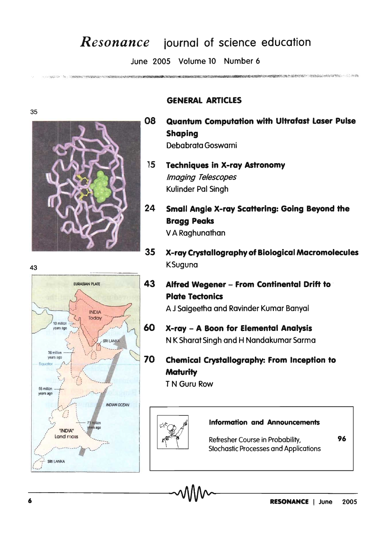## *Resonance* journal of science education

June 2005 Volume 10 Number 6

35



THE CONSTANT PROGRAM CONTINUES AND APPROXIMATED



## **GENERAL ARTICLES**

80 **Quantum Computation with Ultrafast Laser Pulse Shaping** Debabrata Goswami

- 15 **Techniques in X-ray Astronomy Imaging Telescopes** Kulinder Pal Singh
- 24 **Small Angle X-ray Scattering: Going Beyond the Bragg Peaks** V A Raghunathan
- 35 X-ray Crystalloaraphy of Biological Macromolecules **KSuguna** 
	- Alfred Wegener From Continental Drift to **Plate Tectonics**

A J Saigeetha and Ravinder Kumar Banyal

- 60 X-ray - A Boon for Elemental Analysis NK Sharat Singh and H Nandakumar Sarma
	- **Chemical Crystallography: From Inception to Maturity**

T N Guru Row



## **Information and Announcements**

Refresher Course in Probability, **Stochastic Processes and Applications**  96